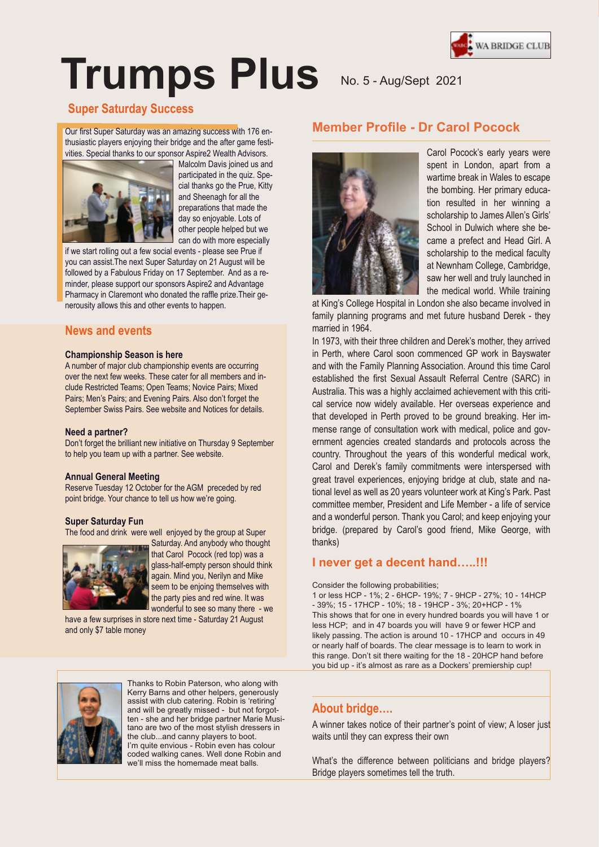

# **Trumps Plus** No. 5 - Aug/Sept 2021

## **Super Saturday Success**

Our first Super Saturday was an amazing success with 176 enthusiastic players enjoying their bridge and the after game festivities. Special thanks to our sponsor Aspire2 Wealth Advisors.



Malcolm Davis joined us and participated in the quiz. Special thanks go the Prue, Kitty and Sheenagh for all the preparations that made the day so enjoyable. Lots of other people helped but we can do with more especially

if we start rolling out a few social events - please see Prue if you can assist.The next Super Saturday on 21 August will be followed by a Fabulous Friday on 17 September. And as a reminder, please support our sponsors Aspire2 and Advantage Pharmacy in Claremont who donated the raffle prize.Their generousity allows this and other events to happen.

## **News and events**

### **Championship Season is here**

A number of major club championship events are occurring over the next few weeks. These cater for all members and include Restricted Teams; Open Teams; Novice Pairs; Mixed Pairs; Men's Pairs; and Evening Pairs. Also don't forget the September Swiss Pairs. See website and Notices for details.

### **Need a partner?**

Don't forget the brilliant new initiative on Thursday 9 September to help you team up with a partner. See website.

#### **Annual General Meeting**

Reserve Tuesday 12 October for the AGM preceded by red point bridge. Your chance to tell us how we're going.

### **Super Saturday Fun**

The food and drink were well enjoyed by the group at Super



Saturday. And anybody who thought that Carol Pocock (red top) was a glass-half-empty person should think again. Mind you, Nerilyn and Mike seem to be enjoing themselves with the party pies and red wine. It was wonderful to see so many there - we

have a few surprises in store next time - Saturday 21 August and only \$7 table money

## **Member Profile - Dr Carol Pocock**



Carol Pocock's early years were spent in London, apart from a wartime break in Wales to escape the bombing. Her primary education resulted in her winning a scholarship to James Allen's Girls' School in Dulwich where she became a prefect and Head Girl. A scholarship to the medical faculty at Newnham College, Cambridge, saw her well and truly launched in the medical world. While training

at King's College Hospital in London she also became involved in family planning programs and met future husband Derek - they married in 1964.

In 1973, with their three children and Derek's mother, they arrived in Perth, where Carol soon commenced GP work in Bayswater and with the Family Planning Association. Around this time Carol established the first Sexual Assault Referral Centre (SARC) in Australia. This was a highly acclaimed achievement with this critical service now widely available. Her overseas experience and that developed in Perth proved to be ground breaking. Her immense range of consultation work with medical, police and government agencies created standards and protocols across the country. Throughout the years of this wonderful medical work, Carol and Derek's family commitments were interspersed with great travel experiences, enjoying bridge at club, state and national level as well as 20 years volunteer work at King's Park. Past committee member, President and Life Member - a life of service and a wonderful person. Thank you Carol; and keep enjoying your bridge. (prepared by Carol's good friend, Mike George, with thanks)

## **I never get a decent hand…..!!!**

Consider the following probabilities;

1 or less HCP - 1%; 2 - 6HCP- 19%; 7 - 9HCP - 27%; 10 - 14HCP - 39%; 15 - 17HCP - 10%; 18 - 19HCP - 3%; 20+HCP - 1% This shows that for one in every hundred boards you will have 1 or less HCP; and in 47 boards you will have 9 or fewer HCP and likely passing. The action is around 10 - 17HCP and occurs in 49 or nearly half of boards. The clear message is to learn to work in this range. Don't sit there waiting for the 18 - 20HCP hand before you bid up - it's almost as rare as a Dockers' premiership cup!



Thanks to Robin Paterson, who along with Kerry Barns and other helpers, generously assist with club catering. Robin is 'retiring'<br>and will be grastly missed... but not forget and will be greatly missed Thermorrerget<br>ten - she and her bridge partner Marie Musitano are two of the most stylish dressers in the club...and canny players to boot. I'm quite envious - Robin even has colour coded waiking carles. Well done Robin and<br>we'll miss the homemade meat balls. and will be greatly missed - but not forgotcoded walking canes. Well done Robin and

## **About bridge….**

A winner takes notice of their partner's point of view; A loser just waits until they can express their own

What's the difference between politicians and bridge players? Bridge players sometimes tell the truth.